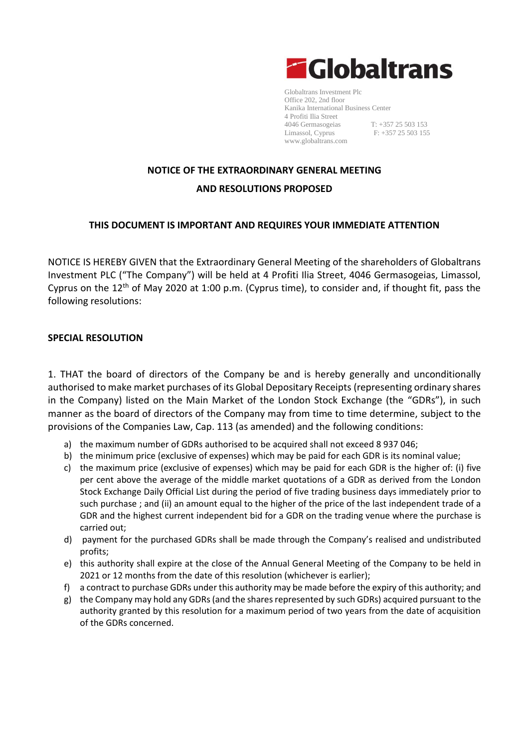

Globaltrans Investment Plc Office 202, 2nd floor Kanika International Business Center 4 Profiti Ilia Street 4046 Germasogeias T: +357 25 503 153<br>
Limassol, Cyprus F: +357 25 503 153  $F: +357 25 503 155$ [www.globaltrans.com](http://www.globaltrans.com/)

# **NOTICE OF THE EXTRAORDINARY GENERAL MEETING AND RESOLUTIONS PROPOSED**

### **THIS DOCUMENT IS IMPORTANT AND REQUIRES YOUR IMMEDIATE ATTENTION**

NOTICE IS HEREBY GIVEN that the Extraordinary General Meeting of the shareholders of Globaltrans Investment PLC ("The Company") will be held at 4 Profiti Ilia Street, 4046 Germasogeias, Limassol, Cyprus on the 12<sup>th</sup> of May 2020 at 1:00 p.m. (Cyprus time), to consider and, if thought fit, pass the following resolutions:

#### **SPECIAL RESOLUTION**

1. THAT the board of directors of the Company be and is hereby generally and unconditionally authorised to make market purchases of its Global Depositary Receipts (representing ordinary shares in the Company) listed on the Main Market of the London Stock Exchange (the "GDRs"), in such manner as the board of directors of the Company may from time to time determine, subject to the provisions of the Companies Law, Cap. 113 (as amended) and the following conditions:

- a) the maximum number of GDRs authorised to be acquired shall not exceed 8 937 046;
- b) the minimum price (exclusive of expenses) which may be paid for each GDR is its nominal value;
- c) the maximum price (exclusive of expenses) which may be paid for each GDR is the higher of: (i) five per cent above the average of the middle market quotations of a GDR as derived from the London Stock Exchange Daily Official List during the period of five trading business days immediately prior to such purchase ; and (ii) an amount equal to the higher of the price of the last independent trade of a GDR and the highest current independent bid for a GDR on the trading venue where the purchase is carried out;
- d) payment for the purchased GDRs shall be made through the Company's realised and undistributed profits;
- e) this authority shall expire at the close of the Annual General Meeting of the Company to be held in 2021 or 12 months from the date of this resolution (whichever is earlier);
- f) a contract to purchase GDRs under this authority may be made before the expiry of this authority; and
- g) the Company may hold any GDRs (and the shares represented by such GDRs) acquired pursuant to the authority granted by this resolution for a maximum period of two years from the date of acquisition of the GDRs concerned.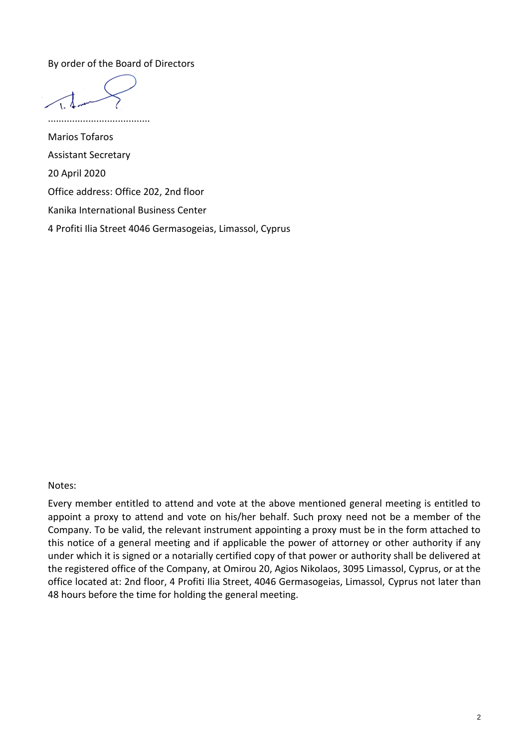By order of the Board of Directors

......................................

Marios Tofaros Assistant Secretary 20 April 2020 Office address: Office 202, 2nd floor Kanika International Business Center 4 Profiti Ilia Street 4046 Germasogeias, Limassol, Cyprus

Notes:

Every member entitled to attend and vote at the above mentioned general meeting is entitled to appoint a proxy to attend and vote on his/her behalf. Such proxy need not be a member of the Company. To be valid, the relevant instrument appointing a proxy must be in the form attached to this notice of a general meeting and if applicable the power of attorney or other authority if any under which it is signed or a notarially certified copy of that power or authority shall be delivered at the registered office of the Company, at Omirou 20, Agios Nikolaos, 3095 Limassol, Cyprus, or at the office located at: 2nd floor, 4 Profiti Ilia Street, 4046 Germasogeias, Limassol, Cyprus not later than 48 hours before the time for holding the general meeting.